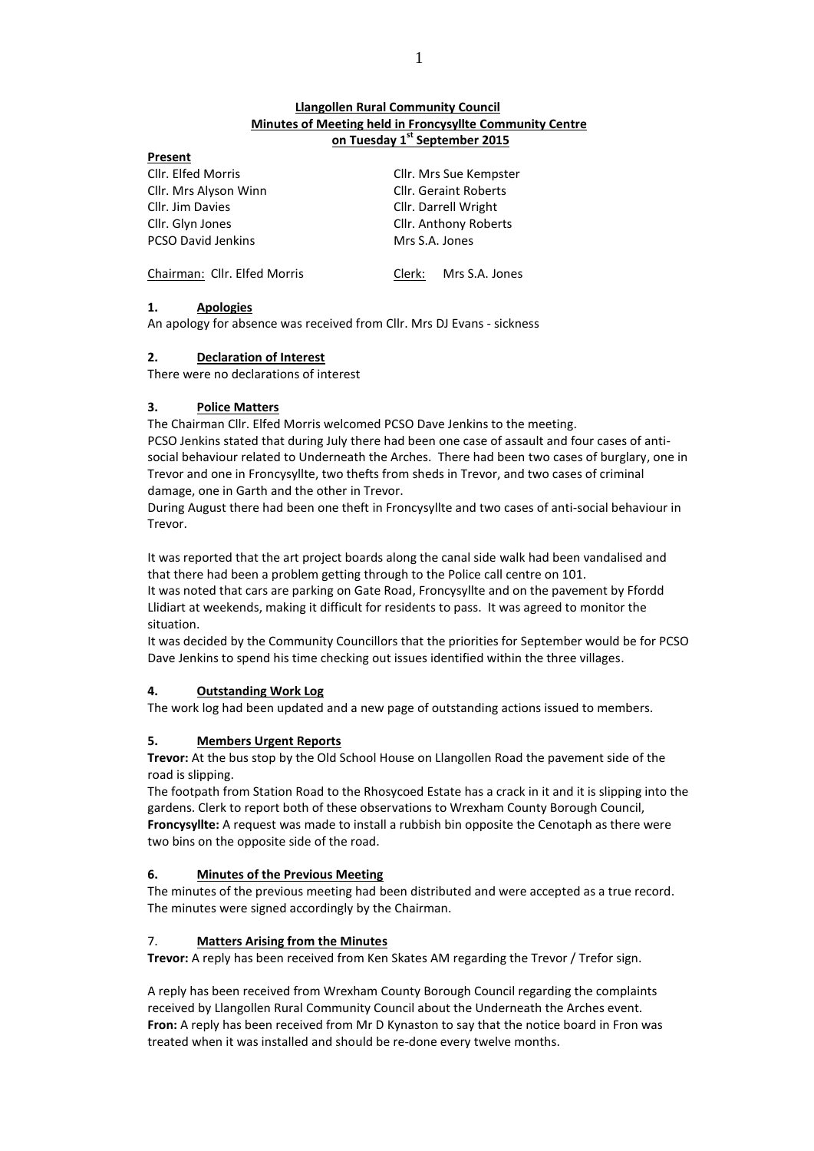# **Llangollen Rural Community Council Minutes of Meeting held in Froncysyllte Community Centre on Tuesday 1 st September 2015**

| Present                      |                              |  |
|------------------------------|------------------------------|--|
| Cllr. Elfed Morris           | Cllr. Mrs Sue Kempster       |  |
| Cllr. Mrs Alyson Winn        | <b>Cllr. Geraint Roberts</b> |  |
| Cllr. Jim Davies             | Cllr. Darrell Wright         |  |
| Cllr. Glyn Jones             | Cllr. Anthony Roberts        |  |
| <b>PCSO David Jenkins</b>    | Mrs S.A. Jones               |  |
| Chairman: Cllr. Elfed Morris | Mrs S.A. Jones<br>Clerk:     |  |

# **1. Apologies**

An apology for absence was received from Cllr. Mrs DJ Evans - sickness

# **2. Declaration of Interest**

There were no declarations of interest

# **3. Police Matters**

The Chairman Cllr. Elfed Morris welcomed PCSO Dave Jenkins to the meeting. PCSO Jenkins stated that during July there had been one case of assault and four cases of antisocial behaviour related to Underneath the Arches. There had been two cases of burglary, one in Trevor and one in Froncysyllte, two thefts from sheds in Trevor, and two cases of criminal damage, one in Garth and the other in Trevor.

During August there had been one theft in Froncysyllte and two cases of anti-social behaviour in Trevor.

It was reported that the art project boards along the canal side walk had been vandalised and that there had been a problem getting through to the Police call centre on 101.

It was noted that cars are parking on Gate Road, Froncysyllte and on the pavement by Ffordd Llidiart at weekends, making it difficult for residents to pass. It was agreed to monitor the situation.

It was decided by the Community Councillors that the priorities for September would be for PCSO Dave Jenkins to spend his time checking out issues identified within the three villages.

# **4. Outstanding Work Log**

The work log had been updated and a new page of outstanding actions issued to members.

# **5. Members Urgent Reports**

**Trevor:** At the bus stop by the Old School House on Llangollen Road the pavement side of the road is slipping.

The footpath from Station Road to the Rhosycoed Estate has a crack in it and it is slipping into the gardens. Clerk to report both of these observations to Wrexham County Borough Council, **Froncysyllte:** A request was made to install a rubbish bin opposite the Cenotaph as there were two bins on the opposite side of the road.

# **6. Minutes of the Previous Meeting**

The minutes of the previous meeting had been distributed and were accepted as a true record. The minutes were signed accordingly by the Chairman.

## 7. **Matters Arising from the Minutes**

**Trevor:** A reply has been received from Ken Skates AM regarding the Trevor / Trefor sign.

A reply has been received from Wrexham County Borough Council regarding the complaints received by Llangollen Rural Community Council about the Underneath the Arches event. **Fron:** A reply has been received from Mr D Kynaston to say that the notice board in Fron was treated when it was installed and should be re-done every twelve months.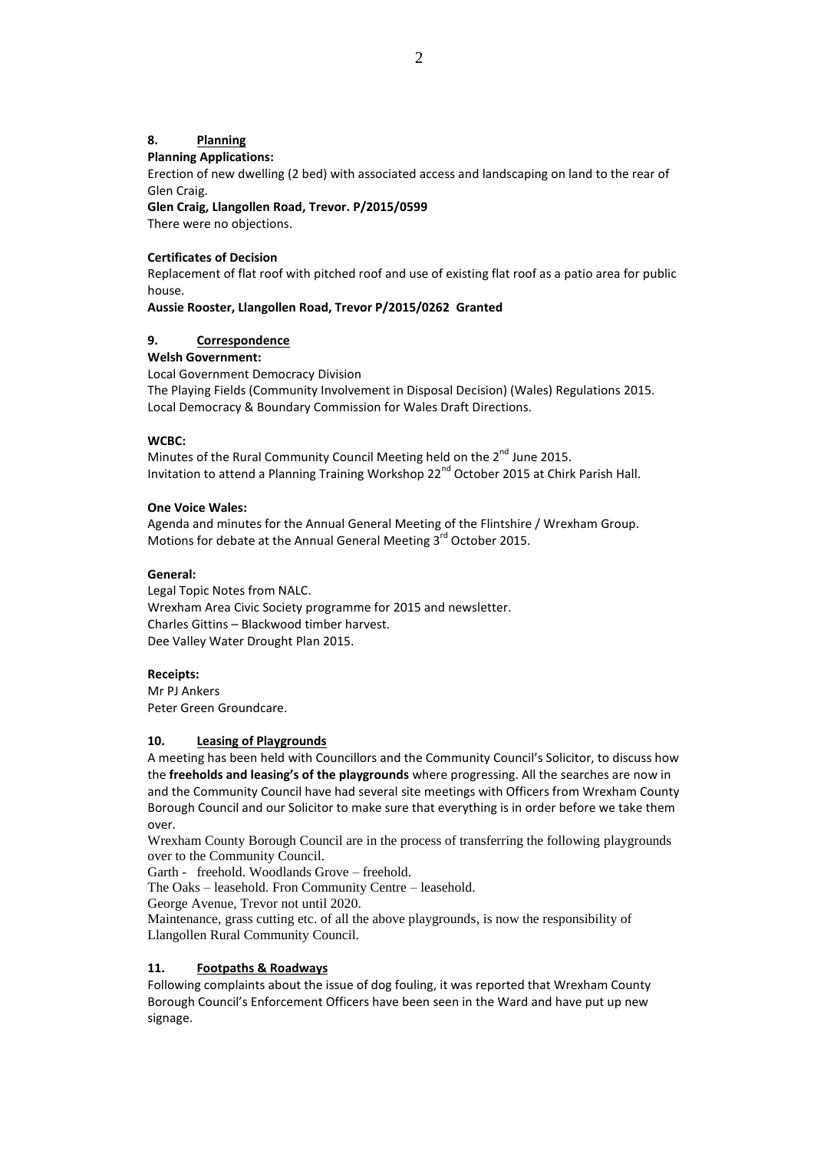# **8. Planning**

# **Planning Applications:**

Erection of new dwelling (2 bed) with associated access and landscaping on land to the rear of Glen Craig.

**Glen Craig, Llangollen Road, Trevor. P/2015/0599** 

There were no objections.

# **Certificates of Decision**

Replacement of flat roof with pitched roof and use of existing flat roof as a patio area for public house.

**Aussie Rooster, Llangollen Road, Trevor P/2015/0262 Granted**

# **9. Correspondence**

## **Welsh Government:**

Local Government Democracy Division

The Playing Fields (Community Involvement in Disposal Decision) (Wales) Regulations 2015. Local Democracy & Boundary Commission for Wales Draft Directions.

## **WCBC:**

Minutes of the Rural Community Council Meeting held on the  $2^{nd}$  June 2015. Invitation to attend a Planning Training Workshop 22<sup>nd</sup> October 2015 at Chirk Parish Hall.

## **One Voice Wales:**

Agenda and minutes for the Annual General Meeting of the Flintshire / Wrexham Group. Motions for debate at the Annual General Meeting 3<sup>rd</sup> October 2015.

# **General:**

Legal Topic Notes from NALC. Wrexham Area Civic Society programme for 2015 and newsletter. Charles Gittins – Blackwood timber harvest. Dee Valley Water Drought Plan 2015.

# **Receipts:**

Mr PJ Ankers Peter Green Groundcare.

## **10. Leasing of Playgrounds**

A meeting has been held with Councillors and the Community Council's Solicitor, to discuss how the **freeholds and leasing's of the playgrounds** where progressing. All the searches are now in and the Community Council have had several site meetings with Officers from Wrexham County Borough Council and our Solicitor to make sure that everything is in order before we take them over.

Wrexham County Borough Council are in the process of transferring the following playgrounds over to the Community Council.

Garth - freehold. Woodlands Grove – freehold.

The Oaks – leasehold. Fron Community Centre – leasehold.

George Avenue, Trevor not until 2020.

Maintenance, grass cutting etc. of all the above playgrounds, is now the responsibility of Llangollen Rural Community Council.

# **11. Footpaths & Roadways**

Following complaints about the issue of dog fouling, it was reported that Wrexham County Borough Council's Enforcement Officers have been seen in the Ward and have put up new signage.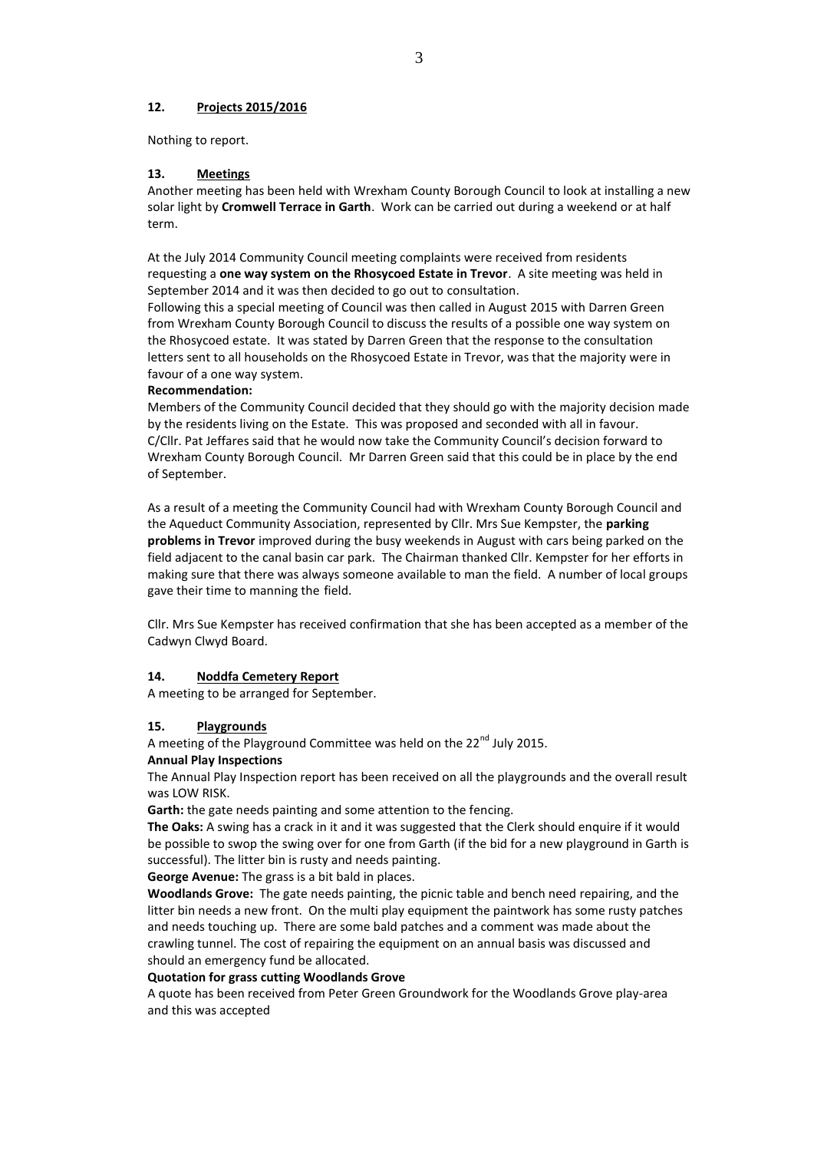#### **12. Projects 2015/2016**

Nothing to report.

#### **13. Meetings**

Another meeting has been held with Wrexham County Borough Council to look at installing a new solar light by **Cromwell Terrace in Garth**. Work can be carried out during a weekend or at half term.

At the July 2014 Community Council meeting complaints were received from residents requesting a **one way system on the Rhosycoed Estate in Trevor**. A site meeting was held in September 2014 and it was then decided to go out to consultation.

Following this a special meeting of Council was then called in August 2015 with Darren Green from Wrexham County Borough Council to discuss the results of a possible one way system on the Rhosycoed estate. It was stated by Darren Green that the response to the consultation letters sent to all households on the Rhosycoed Estate in Trevor, was that the majority were in favour of a one way system.

#### **Recommendation:**

Members of the Community Council decided that they should go with the majority decision made by the residents living on the Estate. This was proposed and seconded with all in favour. C/Cllr. Pat Jeffares said that he would now take the Community Council's decision forward to Wrexham County Borough Council. Mr Darren Green said that this could be in place by the end of September.

As a result of a meeting the Community Council had with Wrexham County Borough Council and the Aqueduct Community Association, represented by Cllr. Mrs Sue Kempster, the **parking problems in Trevor** improved during the busy weekends in August with cars being parked on the field adjacent to the canal basin car park. The Chairman thanked Cllr. Kempster for her efforts in making sure that there was always someone available to man the field. A number of local groups gave their time to manning the field.

Cllr. Mrs Sue Kempster has received confirmation that she has been accepted as a member of the Cadwyn Clwyd Board.

#### **14. Noddfa Cemetery Report**

A meeting to be arranged for September.

# **15. Playgrounds**

A meeting of the Playground Committee was held on the 22<sup>nd</sup> July 2015.

#### **Annual Play Inspections**

The Annual Play Inspection report has been received on all the playgrounds and the overall result was LOW RISK.

**Garth:** the gate needs painting and some attention to the fencing.

**The Oaks:** A swing has a crack in it and it was suggested that the Clerk should enquire if it would be possible to swop the swing over for one from Garth (if the bid for a new playground in Garth is successful). The litter bin is rusty and needs painting.

**George Avenue:** The grass is a bit bald in places.

**Woodlands Grove:** The gate needs painting, the picnic table and bench need repairing, and the litter bin needs a new front. On the multi play equipment the paintwork has some rusty patches and needs touching up. There are some bald patches and a comment was made about the crawling tunnel. The cost of repairing the equipment on an annual basis was discussed and should an emergency fund be allocated.

#### **Quotation for grass cutting Woodlands Grove**

A quote has been received from Peter Green Groundwork for the Woodlands Grove play-area and this was accepted